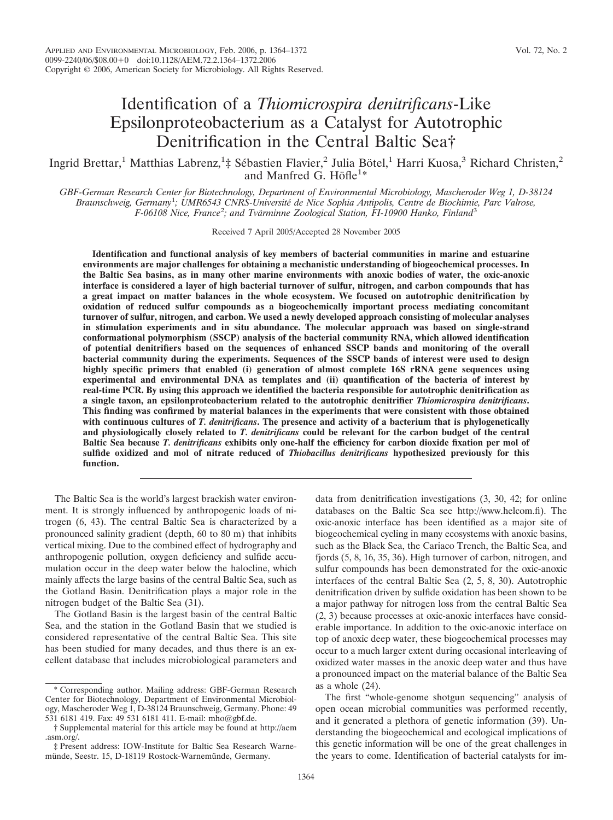# Identification of a *Thiomicrospira denitrificans*-Like Epsilonproteobacterium as a Catalyst for Autotrophic Denitrification in the Central Baltic Sea†

Ingrid Brettar,<sup>1</sup> Matthias Labrenz,<sup>1</sup>‡ Sébastien Flavier,<sup>2</sup> Julia Bötel,<sup>1</sup> Harri Kuosa,<sup>3</sup> Richard Christen,<sup>2</sup> and Manfred G. Höfle<sup>1\*</sup>

*GBF-German Research Center for Biotechnology, Department of Environmental Microbiology, Mascheroder Weg 1, D-38124 Braunschweig, Germany*<sup>1</sup> *; UMR6543 CNRS-Universite´ de Nice Sophia Antipolis, Centre de Biochimie, Parc Valrose, F-06108 Nice, France*<sup>2</sup> *; and Tva¨rminne Zoological Station, FI-10900 Hanko, Finland*<sup>3</sup>

Received 7 April 2005/Accepted 28 November 2005

**Identification and functional analysis of key members of bacterial communities in marine and estuarine environments are major challenges for obtaining a mechanistic understanding of biogeochemical processes. In the Baltic Sea basins, as in many other marine environments with anoxic bodies of water, the oxic-anoxic interface is considered a layer of high bacterial turnover of sulfur, nitrogen, and carbon compounds that has a great impact on matter balances in the whole ecosystem. We focused on autotrophic denitrification by oxidation of reduced sulfur compounds as a biogeochemically important process mediating concomitant turnover of sulfur, nitrogen, and carbon. We used a newly developed approach consisting of molecular analyses in stimulation experiments and in situ abundance. The molecular approach was based on single-strand conformational polymorphism (SSCP) analysis of the bacterial community RNA, which allowed identification of potential denitrifiers based on the sequences of enhanced SSCP bands and monitoring of the overall bacterial community during the experiments. Sequences of the SSCP bands of interest were used to design highly specific primers that enabled (i) generation of almost complete 16S rRNA gene sequences using experimental and environmental DNA as templates and (ii) quantification of the bacteria of interest by real-time PCR. By using this approach we identified the bacteria responsible for autotrophic denitrification as a single taxon, an epsilonproteobacterium related to the autotrophic denitrifier** *Thiomicrospira denitrificans***. This finding was confirmed by material balances in the experiments that were consistent with those obtained with continuous cultures of** *T. denitrificans***. The presence and activity of a bacterium that is phylogenetically and physiologically closely related to** *T. denitrificans* **could be relevant for the carbon budget of the central Baltic Sea because** *T. denitrificans* **exhibits only one-half the efficiency for carbon dioxide fixation per mol of sulfide oxidized and mol of nitrate reduced of** *Thiobacillus denitrificans* **hypothesized previously for this function.**

The Baltic Sea is the world's largest brackish water environment. It is strongly influenced by anthropogenic loads of nitrogen (6, 43). The central Baltic Sea is characterized by a pronounced salinity gradient (depth, 60 to 80 m) that inhibits vertical mixing. Due to the combined effect of hydrography and anthropogenic pollution, oxygen deficiency and sulfide accumulation occur in the deep water below the halocline, which mainly affects the large basins of the central Baltic Sea, such as the Gotland Basin. Denitrification plays a major role in the nitrogen budget of the Baltic Sea (31).

The Gotland Basin is the largest basin of the central Baltic Sea, and the station in the Gotland Basin that we studied is considered representative of the central Baltic Sea. This site has been studied for many decades, and thus there is an excellent database that includes microbiological parameters and

data from denitrification investigations (3, 30, 42; for online databases on the Baltic Sea see http://www.helcom.fi). The oxic-anoxic interface has been identified as a major site of biogeochemical cycling in many ecosystems with anoxic basins, such as the Black Sea, the Cariaco Trench, the Baltic Sea, and fjords (5, 8, 16, 35, 36). High turnover of carbon, nitrogen, and sulfur compounds has been demonstrated for the oxic-anoxic interfaces of the central Baltic Sea (2, 5, 8, 30). Autotrophic denitrification driven by sulfide oxidation has been shown to be a major pathway for nitrogen loss from the central Baltic Sea (2, 3) because processes at oxic-anoxic interfaces have considerable importance. In addition to the oxic-anoxic interface on top of anoxic deep water, these biogeochemical processes may occur to a much larger extent during occasional interleaving of oxidized water masses in the anoxic deep water and thus have a pronounced impact on the material balance of the Baltic Sea as a whole (24).

The first "whole-genome shotgun sequencing" analysis of open ocean microbial communities was performed recently, and it generated a plethora of genetic information (39). Understanding the biogeochemical and ecological implications of this genetic information will be one of the great challenges in the years to come. Identification of bacterial catalysts for im-

<sup>\*</sup> Corresponding author. Mailing address: GBF-German Research Center for Biotechnology, Department of Environmental Microbiology, Mascheroder Weg 1, D-38124 Braunschweig, Germany. Phone: 49 531 6181 419. Fax: 49 531 6181 411. E-mail: mho@gbf.de.

<sup>†</sup> Supplemental material for this article may be found at http://aem .asm.org/.

<sup>‡</sup> Present address: IOW-Institute for Baltic Sea Research Warnemünde, Seestr. 15, D-18119 Rostock-Warnemünde, Germany.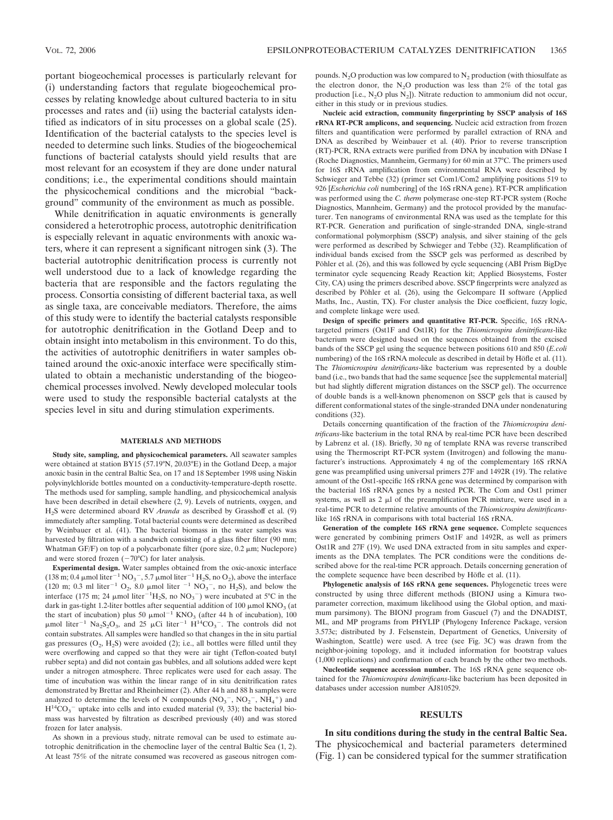portant biogeochemical processes is particularly relevant for (i) understanding factors that regulate biogeochemical processes by relating knowledge about cultured bacteria to in situ processes and rates and (ii) using the bacterial catalysts identified as indicators of in situ processes on a global scale (25). Identification of the bacterial catalysts to the species level is needed to determine such links. Studies of the biogeochemical functions of bacterial catalysts should yield results that are most relevant for an ecosystem if they are done under natural conditions; i.e., the experimental conditions should maintain the physicochemical conditions and the microbial "background" community of the environment as much as possible.

While denitrification in aquatic environments is generally considered a heterotrophic process, autotrophic denitrification is especially relevant in aquatic environments with anoxic waters, where it can represent a significant nitrogen sink (3). The bacterial autotrophic denitrification process is currently not well understood due to a lack of knowledge regarding the bacteria that are responsible and the factors regulating the process. Consortia consisting of different bacterial taxa, as well as single taxa, are conceivable mediators. Therefore, the aims of this study were to identify the bacterial catalysts responsible for autotrophic denitrification in the Gotland Deep and to obtain insight into metabolism in this environment. To do this, the activities of autotrophic denitrifiers in water samples obtained around the oxic-anoxic interface were specifically stimulated to obtain a mechanistic understanding of the biogeochemical processes involved. Newly developed molecular tools were used to study the responsible bacterial catalysts at the species level in situ and during stimulation experiments.

### **MATERIALS AND METHODS**

**Study site, sampling, and physicochemical parameters.** All seawater samples were obtained at station BY15 (57.19°N, 20.03°E) in the Gotland Deep, a major anoxic basin in the central Baltic Sea, on 17 and 18 September 1998 using Niskin polyvinylchloride bottles mounted on a conductivity-temperature-depth rosette. The methods used for sampling, sample handling, and physicochemical analysis have been described in detail elsewhere (2, 9). Levels of nutrients, oxygen, and H2S were determined aboard RV *Aranda* as described by Grasshoff et al. (9) immediately after sampling. Total bacterial counts were determined as described by Weinbauer et al. (41). The bacterial biomass in the water samples was harvested by filtration with a sandwich consisting of a glass fiber filter (90 mm; Whatman GF/F) on top of a polycarbonate filter (pore size,  $0.2 \mu m$ ; Nuclepore) and were stored frozen  $(-70^{\circ}C)$  for later analysis.

**Experimental design.** Water samples obtained from the oxic-anoxic interface (138 m; 0.4  $\mu$ mol liter<sup>-1</sup> NO<sub>3</sub><sup>-</sup>, 5.7  $\mu$ mol liter<sup>-1</sup> H<sub>2</sub>S, no O<sub>2</sub>), above the interface (120 m; 0.3 ml liter<sup>-1</sup> O<sub>2</sub>, 8.0  $\mu$ mol liter<sup>-1</sup> NO<sub>3</sub><sup>-</sup>, no H<sub>2</sub>S), and below the interface (175 m; 24  $\mu$ mol liter<sup>-1</sup>H<sub>2</sub>S, no NO<sub>3</sub><sup>-</sup>) were incubated at 5°C in the dark in gas-tight 1.2-liter bottles after sequential addition of 100  $\mu$ mol KNO<sub>3</sub> (at the start of incubation) plus 50  $\mu$ mol<sup>-1</sup> KNO<sub>3</sub> (after 44 h of incubation), 100  $\mu$ mol liter<sup>-1</sup> Na<sub>2</sub>S<sub>2</sub>O<sub>3</sub>, and 25  $\mu$ Ci liter<sup>-1</sup> H<sup>14</sup>CO<sub>3</sub><sup>-</sup>. The controls did not contain substrates. All samples were handled so that changes in the in situ partial gas pressures  $(O_2, H_2S)$  were avoided (2); i.e., all bottles were filled until they were overflowing and capped so that they were air tight (Teflon-coated butyl rubber septa) and did not contain gas bubbles, and all solutions added were kept under a nitrogen atmosphere. Three replicates were used for each assay. The time of incubation was within the linear range of in situ denitrification rates demonstrated by Brettar and Rheinheimer (2). After 44 h and 88 h samples were analyzed to determine the levels of N compounds  $(NO<sub>3</sub><sup>-</sup>, NO<sub>2</sub><sup>-</sup>, NH<sub>4</sub><sup>+</sup>)$  and  $H^{14}CO_3^-$  uptake into cells and into exuded material  $(9, 33)$ ; the bacterial biomass was harvested by filtration as described previously (40) and was stored frozen for later analysis.

As shown in a previous study, nitrate removal can be used to estimate autotrophic denitrification in the chemocline layer of the central Baltic Sea (1, 2). At least 75% of the nitrate consumed was recovered as gaseous nitrogen compounds. N<sub>2</sub>O production was low compared to  $N_2$  production (with thiosulfate as the electron donor, the N<sub>2</sub>O production was less than  $2\%$  of the total gas production [i.e.,  $N_2O$  plus  $N_2$ ]). Nitrate reduction to ammonium did not occur, either in this study or in previous studies.

**Nucleic acid extraction, community fingerprinting by SSCP analysis of 16S rRNA RT-PCR amplicons, and sequencing.** Nucleic acid extraction from frozen filters and quantification were performed by parallel extraction of RNA and DNA as described by Weinbauer et al. (40). Prior to reverse transcription (RT)-PCR, RNA extracts were purified from DNA by incubation with DNase I (Roche Diagnostics, Mannheim, Germany) for 60 min at 37°C. The primers used for 16S rRNA amplification from environmental RNA were described by Schwieger and Tebbe (32) (primer set Com1/Com2 amplifying positions 519 to 926 [*Escherichia coli* numbering] of the 16S rRNA gene). RT-PCR amplification was performed using the *C. therm* polymerase one-step RT-PCR system (Roche Diagnostics, Mannheim, Germany) and the protocol provided by the manufacturer. Ten nanograms of environmental RNA was used as the template for this RT-PCR. Generation and purification of single-stranded DNA, single-strand conformational polymorphism (SSCP) analysis, and silver staining of the gels were performed as described by Schwieger and Tebbe (32). Reamplification of individual bands excised from the SSCP gels was performed as described by Pöhler et al. (26), and this was followed by cycle sequencing (ABI Prism BigDye terminator cycle sequencing Ready Reaction kit; Applied Biosystems, Foster City, CA) using the primers described above. SSCP fingerprints were analyzed as described by Pöhler et al. (26), using the Gelcompare II software (Applied Maths, Inc., Austin, TX). For cluster analysis the Dice coefficient, fuzzy logic, and complete linkage were used.

**Design of specific primers and quantitative RT-PCR.** Specific, 16S rRNAtargeted primers (Ost1F and Ost1R) for the *Thiomicrospira denitrificans*-like bacterium were designed based on the sequences obtained from the excised bands of the SSCP gel using the sequence between positions 610 and 850 (*E.coli* numbering) of the 16S rRNA molecule as described in detail by Höfle et al. (11). The *Thiomicrospira denitrificans*-like bacterium was represented by a double band (i.e., two bands that had the same sequence [see the supplemental material] but had slightly different migration distances on the SSCP gel). The occurrence of double bands is a well-known phenomenon on SSCP gels that is caused by different conformational states of the single-stranded DNA under nondenaturing conditions (32).

Details concerning quantification of the fraction of the *Thiomicrospira denitrificans*-like bacterium in the total RNA by real-time PCR have been described by Labrenz et al. (18). Briefly, 30 ng of template RNA was reverse transcribed using the Thermoscript RT-PCR system (Invitrogen) and following the manufacturer's instructions. Approximately 4 ng of the complementary 16S rRNA gene was preamplified using universal primers 27F and 1492R (19). The relative amount of the Ost1-specific 16S rRNA gene was determined by comparison with the bacterial 16S rRNA genes by a nested PCR. The Com and Ost1 primer systems, as well as  $2 \mu$ l of the preamplification PCR mixture, were used in a real-time PCR to determine relative amounts of the *Thiomicrospira denitrificans*like 16S rRNA in comparisons with total bacterial 16S rRNA.

**Generation of the complete 16S rRNA gene sequence.** Complete sequences were generated by combining primers Ost1F and 1492R, as well as primers Ost1R and 27F (19). We used DNA extracted from in situ samples and experiments as the DNA templates. The PCR conditions were the conditions described above for the real-time PCR approach. Details concerning generation of the complete sequence have been described by Höfle et al. (11).

**Phylogenetic analysis of 16S rRNA gene sequences.** Phylogenetic trees were constructed by using three different methods (BIONJ using a Kimura twoparameter correction, maximum likelihood using the Global option, and maximum parsimony). The BIONJ program from Gascuel (7) and the DNADIST, ML, and MP programs from PHYLIP (Phylogeny Inference Package, version 3.573c; distributed by J. Felsenstein, Department of Genetics, University of Washington, Seattle) were used. A tree (see Fig. 3C) was drawn from the neighbor-joining topology, and it included information for bootstrap values (1,000 replications) and confirmation of each branch by the other two methods.

**Nucleotide sequence accession number.** The 16S rRNA gene sequence obtained for the *Thiomicrospira denitrificans*-like bacterium has been deposited in databases under accession number AJ810529.

## **RESULTS**

**In situ conditions during the study in the central Baltic Sea.** The physicochemical and bacterial parameters determined (Fig. 1) can be considered typical for the summer stratification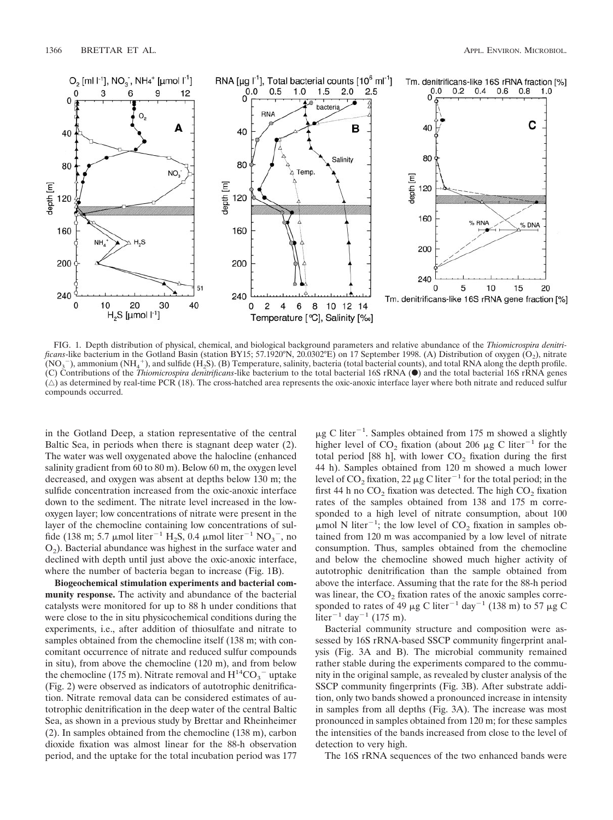

FIG. 1. Depth distribution of physical, chemical, and biological background parameters and relative abundance of the *Thiomicrospira denitrificans*-like bacterium in the Gotland Basin (station BY15; 57.1920°N, 20.0302°E) on 17 September 1998. (A) Distribution of oxygen (O<sub>2</sub>), nitrate  $(NO<sub>3</sub><sup>-</sup>)$ , ammonium  $(NH<sub>4</sub><sup>+</sup>)$ , and sulfide  $(H<sub>2</sub>S)$ . (B) Temperature, salinity, bacteria (total bacterial counts), and total RNA along the depth profile. (C) Contributions of the *Thiomicrospira denitrificans*-like bacterium to the total bacterial 16S rRNA (<sup>o</sup>) and the total bacterial 16S rRNA genes  $(\triangle)$  as determined by real-time PCR (18). The cross-hatched area represents the oxic-anoxic interface layer where both nitrate and reduced sulfur compounds occurred.

in the Gotland Deep, a station representative of the central Baltic Sea, in periods when there is stagnant deep water (2). The water was well oxygenated above the halocline (enhanced salinity gradient from 60 to 80 m). Below 60 m, the oxygen level decreased, and oxygen was absent at depths below 130 m; the sulfide concentration increased from the oxic-anoxic interface down to the sediment. The nitrate level increased in the lowoxygen layer; low concentrations of nitrate were present in the layer of the chemocline containing low concentrations of sulfide (138 m; 5.7  $\mu$ mol liter<sup>-1</sup> H<sub>2</sub>S, 0.4  $\mu$ mol liter<sup>-1</sup> NO<sub>3</sub><sup>-</sup>, no  $O<sub>2</sub>$ ). Bacterial abundance was highest in the surface water and declined with depth until just above the oxic-anoxic interface, where the number of bacteria began to increase (Fig. 1B).

**Biogeochemical stimulation experiments and bacterial community response.** The activity and abundance of the bacterial catalysts were monitored for up to 88 h under conditions that were close to the in situ physicochemical conditions during the experiments, i.e., after addition of thiosulfate and nitrate to samples obtained from the chemocline itself (138 m; with concomitant occurrence of nitrate and reduced sulfur compounds in situ), from above the chemocline (120 m), and from below the chemocline (175 m). Nitrate removal and  $H^{14}CO_3^-$  uptake (Fig. 2) were observed as indicators of autotrophic denitrification. Nitrate removal data can be considered estimates of autotrophic denitrification in the deep water of the central Baltic Sea, as shown in a previous study by Brettar and Rheinheimer (2). In samples obtained from the chemocline (138 m), carbon dioxide fixation was almost linear for the 88-h observation period, and the uptake for the total incubation period was 177

 $\mu$ g C liter<sup>-1</sup>. Samples obtained from 175 m showed a slightly higher level of  $CO_2$  fixation (about 206  $\mu$ g C liter<sup>-1</sup> for the total period [88 h], with lower  $CO<sub>2</sub>$  fixation during the first 44 h). Samples obtained from 120 m showed a much lower level of  $CO_2$  fixation, 22  $\mu$ g C liter<sup>-1</sup> for the total period; in the first 44 h no  $CO_2$  fixation was detected. The high  $CO_2$  fixation rates of the samples obtained from 138 and 175 m corresponded to a high level of nitrate consumption, about 100  $\mu$ mol N liter<sup>-1</sup>; the low level of CO<sub>2</sub> fixation in samples obtained from 120 m was accompanied by a low level of nitrate consumption. Thus, samples obtained from the chemocline and below the chemocline showed much higher activity of autotrophic denitrification than the sample obtained from above the interface. Assuming that the rate for the 88-h period was linear, the  $CO<sub>2</sub>$  fixation rates of the anoxic samples corresponded to rates of 49  $\mu$ g C liter<sup>-1</sup> day<sup>-1</sup> (138 m) to 57  $\mu$ g C liter<sup>-1</sup> day<sup>-1</sup> (175 m).

Bacterial community structure and composition were assessed by 16S rRNA-based SSCP community fingerprint analysis (Fig. 3A and B). The microbial community remained rather stable during the experiments compared to the community in the original sample, as revealed by cluster analysis of the SSCP community fingerprints (Fig. 3B). After substrate addition, only two bands showed a pronounced increase in intensity in samples from all depths (Fig. 3A). The increase was most pronounced in samples obtained from 120 m; for these samples the intensities of the bands increased from close to the level of detection to very high.

The 16S rRNA sequences of the two enhanced bands were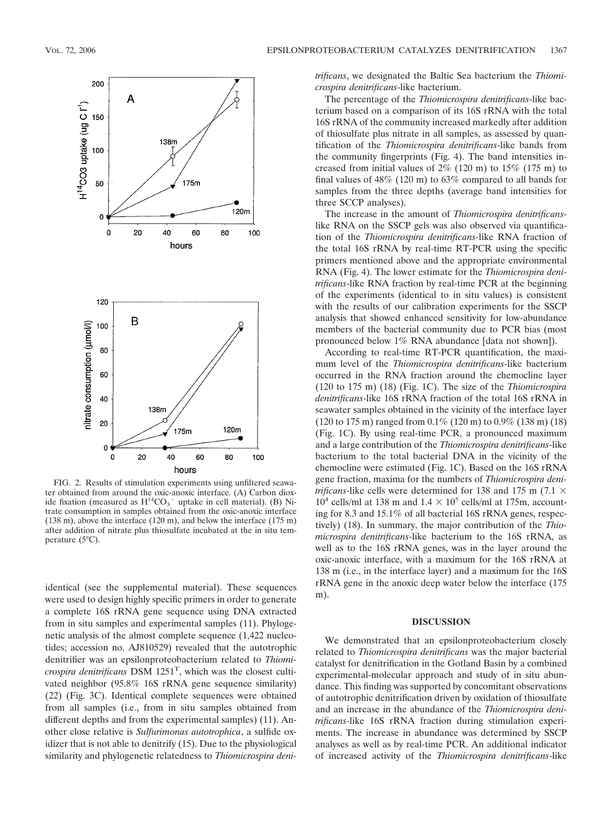

FIG. 2. Results of stimulation experiments using unfiltered seawater obtained from around the oxic-anoxic interface. (A) Carbon diox-<br>ide fixation (measured as  $H^{14}CO_3^-$  uptake in cell material). (B) Nitrate consumption in samples obtained from the oxic-anoxic interface (138 m), above the interface (120 m), and below the interface (175 m) after addition of nitrate plus thiosulfate incubated at the in situ temperature (5°C).

identical (see the supplemental material). These sequences were used to design highly specific primers in order to generate a complete 16S rRNA gene sequence using DNA extracted from in situ samples and experimental samples (11). Phylogenetic analysis of the almost complete sequence (1,422 nucleotides; accession no. AJ810529) revealed that the autotrophic denitrifier was an epsilonproteobacterium related to *Thiomicrospira denitrificans* DSM 1251T , which was the closest cultivated neighbor (95.8% 16S rRNA gene sequence similarity) (22) (Fig. 3C). Identical complete sequences were obtained from all samples (i.e., from in situ samples obtained from different depths and from the experimental samples) (11). Another close relative is *Sulfurimonas autotrophica*, a sulfide oxidizer that is not able to denitrify (15). Due to the physiological similarity and phylogenetic relatedness to *Thiomicrospira deni-* *trificans*, we designated the Baltic Sea bacterium the *Thiomicrospira denitrificans*-like bacterium.

The percentage of the *Thiomicrospira denitrificans*-like bacterium based on a comparison of its 16S rRNA with the total 16S rRNA of the community increased markedly after addition of thiosulfate plus nitrate in all samples, as assessed by quantification of the *Thiomicrospira denitrificans*-like bands from the community fingerprints (Fig. 4). The band intensities increased from initial values of  $2\%$  (120 m) to  $15\%$  (175 m) to final values of 48% (120 m) to 63% compared to all bands for samples from the three depths (average band intensities for three SCCP analyses).

The increase in the amount of *Thiomicrospira denitrificans*like RNA on the SSCP gels was also observed via quantification of the *Thiomicrospira denitrificans-*like RNA fraction of the total 16S rRNA by real-time RT-PCR using the specific primers mentioned above and the appropriate environmental RNA (Fig. 4). The lower estimate for the *Thiomicrospira denitrificans*-like RNA fraction by real-time PCR at the beginning of the experiments (identical to in situ values) is consistent with the results of our calibration experiments for the SSCP analysis that showed enhanced sensitivity for low-abundance members of the bacterial community due to PCR bias (most pronounced below 1% RNA abundance [data not shown]).

According to real-time RT-PCR quantification, the maximum level of the *Thiomicrospira denitrificans*-like bacterium occurred in the RNA fraction around the chemocline layer (120 to 175 m) (18) (Fig. 1C). The size of the *Thiomicrospira denitrificans*-like 16S rRNA fraction of the total 16S rRNA in seawater samples obtained in the vicinity of the interface layer (120 to 175 m) ranged from 0.1% (120 m) to 0.9% (138 m) (18) (Fig. 1C). By using real-time PCR, a pronounced maximum and a large contribution of the *Thiomicrospira denitrificans*-like bacterium to the total bacterial DNA in the vicinity of the chemocline were estimated (Fig. 1C). Based on the 16S rRNA gene fraction, maxima for the numbers of *Thiomicrospira denitrificans*-like cells were determined for 138 and 175 m (7.1  $\times$  $10^4$  cells/ml at 138 m and  $1.4 \times 10^5$  cells/ml at 175m, accounting for 8.3 and 15.1% of all bacterial 16S rRNA genes, respectively) (18). In summary, the major contribution of the *Thiomicrospira denitrificans*-like bacterium to the 16S rRNA, as well as to the 16S rRNA genes, was in the layer around the oxic-anoxic interface, with a maximum for the 16S rRNA at 138 m (i.e., in the interface layer) and a maximum for the 16S rRNA gene in the anoxic deep water below the interface (175 m).

# **DISCUSSION**

We demonstrated that an epsilonproteobacterium closely related to *Thiomicrospira denitrificans* was the major bacterial catalyst for denitrification in the Gotland Basin by a combined experimental-molecular approach and study of in situ abundance. This finding was supported by concomitant observations of autotrophic denitrification driven by oxidation of thiosulfate and an increase in the abundance of the *Thiomicrospira denitrificans*-like 16S rRNA fraction during stimulation experiments. The increase in abundance was determined by SSCP analyses as well as by real-time PCR. An additional indicator of increased activity of the *Thiomicrospira denitrificans*-like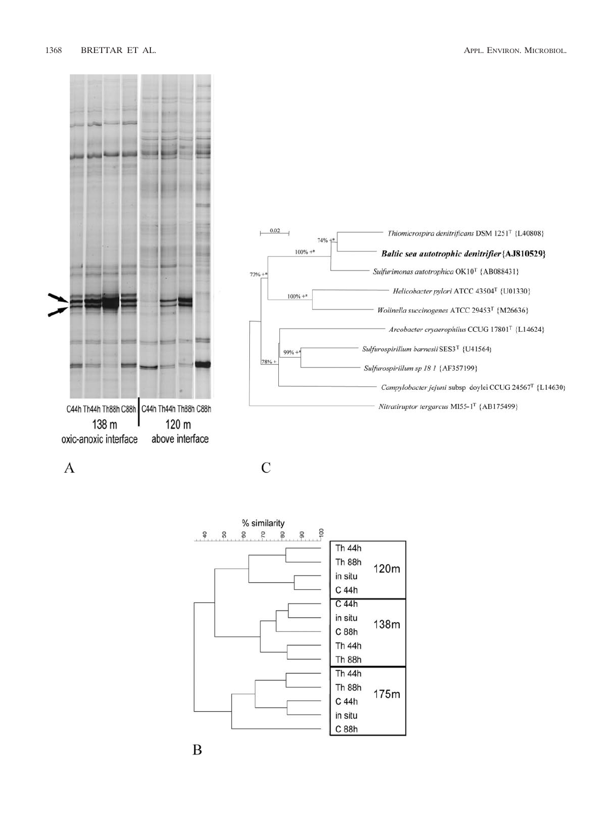



 $\mathbf{A}$ 



 $\mathcal{C}$ 

 $\boldsymbol{B}$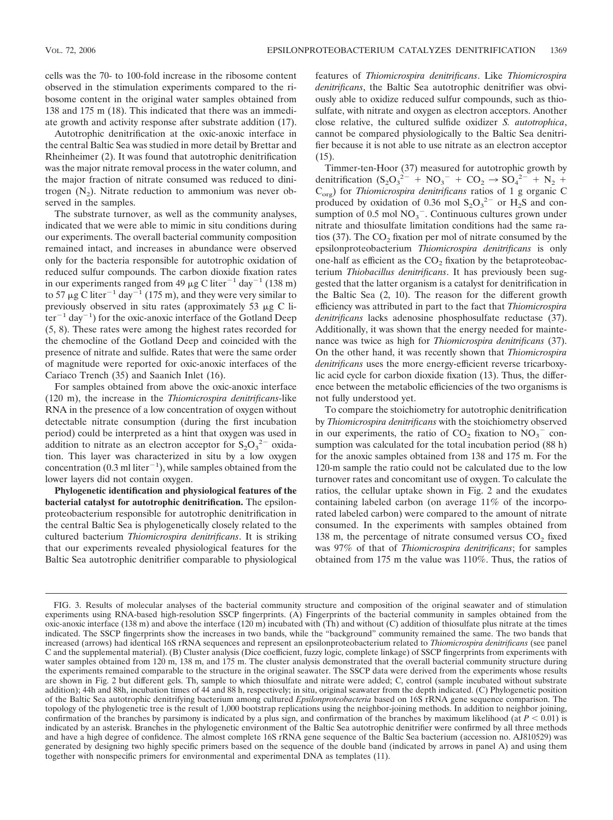cells was the 70- to 100-fold increase in the ribosome content observed in the stimulation experiments compared to the ribosome content in the original water samples obtained from 138 and 175 m (18). This indicated that there was an immediate growth and activity response after substrate addition (17).

Autotrophic denitrification at the oxic-anoxic interface in the central Baltic Sea was studied in more detail by Brettar and Rheinheimer (2). It was found that autotrophic denitrification was the major nitrate removal process in the water column, and the major fraction of nitrate consumed was reduced to dinitrogen  $(N_2)$ . Nitrate reduction to ammonium was never observed in the samples.

The substrate turnover, as well as the community analyses, indicated that we were able to mimic in situ conditions during our experiments. The overall bacterial community composition remained intact, and increases in abundance were observed only for the bacteria responsible for autotrophic oxidation of reduced sulfur compounds. The carbon dioxide fixation rates in our experiments ranged from 49  $\mu$ g C liter<sup>-1</sup> day<sup>-1</sup> (138 m) to 57  $\mu$ g C liter<sup>-1</sup> day<sup>-1</sup> (175 m), and they were very similar to previously observed in situ rates (approximately 53  $\mu$ g C li- $\text{ter}^{-1}$  day<sup>-1</sup>) for the oxic-anoxic interface of the Gotland Deep (5, 8). These rates were among the highest rates recorded for the chemocline of the Gotland Deep and coincided with the presence of nitrate and sulfide. Rates that were the same order of magnitude were reported for oxic-anoxic interfaces of the Cariaco Trench (35) and Saanich Inlet (16).

For samples obtained from above the oxic-anoxic interface (120 m), the increase in the *Thiomicrospira denitrificans*-like RNA in the presence of a low concentration of oxygen without detectable nitrate consumption (during the first incubation period) could be interpreted as a hint that oxygen was used in addition to nitrate as an electron acceptor for  $S_2O_3^2$ <sup>-</sup> oxidation. This layer was characterized in situ by a low oxygen concentration  $(0.3 \text{ ml liter}^{-1})$ , while samples obtained from the lower layers did not contain oxygen.

**Phylogenetic identification and physiological features of the bacterial catalyst for autotrophic denitrification.** The epsilonproteobacterium responsible for autotrophic denitrification in the central Baltic Sea is phylogenetically closely related to the cultured bacterium *Thiomicrospira denitrificans*. It is striking that our experiments revealed physiological features for the Baltic Sea autotrophic denitrifier comparable to physiological features of *Thiomicrospira denitrificans*. Like *Thiomicrospira denitrificans*, the Baltic Sea autotrophic denitrifier was obviously able to oxidize reduced sulfur compounds, such as thiosulfate, with nitrate and oxygen as electron acceptors. Another close relative, the cultured sulfide oxidizer *S. autotrophica*, cannot be compared physiologically to the Baltic Sea denitrifier because it is not able to use nitrate as an electron acceptor (15).

Timmer-ten-Hoor (37) measured for autotrophic growth by denitrification  $(S_2O_3^{2-} + NO_3^- + CO_2 \rightarrow SO_4^{2-} + N_2 +$ Corg) for *Thiomicrospira denitrificans* ratios of 1 g organic C produced by oxidation of 0.36 mol  $S_2O_3^2$  or H<sub>2</sub>S and consumption of  $0.5 \text{ mol } NO_3^-$ . Continuous cultures grown under nitrate and thiosulfate limitation conditions had the same ratios  $(37)$ . The CO<sub>2</sub> fixation per mol of nitrate consumed by the epsilonproteobacterium *Thiomicrospira denitrificans* is only one-half as efficient as the  $CO<sub>2</sub>$  fixation by the betaproteobacterium *Thiobacillus denitrificans*. It has previously been suggested that the latter organism is a catalyst for denitrification in the Baltic Sea (2, 10). The reason for the different growth efficiency was attributed in part to the fact that *Thiomicrospira denitrificans* lacks adenosine phosphosulfate reductase (37). Additionally, it was shown that the energy needed for maintenance was twice as high for *Thiomicrospira denitrificans* (37). On the other hand, it was recently shown that *Thiomicrospira denitrificans* uses the more energy-efficient reverse tricarboxylic acid cycle for carbon dioxide fixation (13). Thus, the difference between the metabolic efficiencies of the two organisms is not fully understood yet.

To compare the stoichiometry for autotrophic denitrification by *Thiomicrospira denitrificans* with the stoichiometry observed in our experiments, the ratio of  $CO_2$  fixation to  $NO_3$ <sup>-</sup> consumption was calculated for the total incubation period (88 h) for the anoxic samples obtained from 138 and 175 m. For the 120-m sample the ratio could not be calculated due to the low turnover rates and concomitant use of oxygen. To calculate the ratios, the cellular uptake shown in Fig. 2 and the exudates containing labeled carbon (on average 11% of the incorporated labeled carbon) were compared to the amount of nitrate consumed. In the experiments with samples obtained from 138 m, the percentage of nitrate consumed versus  $CO<sub>2</sub>$  fixed was 97% of that of *Thiomicrospira denitrificans*; for samples obtained from 175 m the value was 110%. Thus, the ratios of

FIG. 3. Results of molecular analyses of the bacterial community structure and composition of the original seawater and of stimulation experiments using RNA-based high-resolution SSCP fingerprints. (A) Fingerprints of the bacterial community in samples obtained from the oxic-anoxic interface (138 m) and above the interface (120 m) incubated with  $(Th)$  and without  $(C)$  addition of thiosulfate plus nitrate at the times indicated. The SSCP fingerprints show the increases in two bands, while the "background" community remained the same. The two bands that increased (arrows) had identical 16S rRNA sequences and represent an epsilonproteobacterium related to *Thiomicrospira denitrificans* (see panel C and the supplemental material). (B) Cluster analysis (Dice coefficient, fuzzy logic, complete linkage) of SSCP fingerprints from experiments with water samples obtained from 120 m, 138 m, and 175 m. The cluster analysis demonstrated that the overall bacterial community structure during the experiments remained comparable to the structure in the original seawater. The SSCP data were derived from the experiments whose results are shown in Fig. 2 but different gels. Th, sample to which thiosulfate and nitrate were added; C, control (sample incubated without substrate addition); 44h and 88h, incubation times of 44 and 88 h, respectively; in situ, original seawater from the depth indicated. (C) Phylogenetic position of the Baltic Sea autotrophic denitrifying bacterium among cultured *Epsilonproteobacteria* based on 16S rRNA gene sequence comparison. The topology of the phylogenetic tree is the result of 1,000 bootstrap replications using the neighbor-joining methods. In addition to neighbor joining, confirmation of the branches by parsimony is indicated by a plus sign, and confirmation of the branches by maximum likelihood (at  $P < 0.01$ ) is indicated by an asterisk. Branches in the phylogenetic environment of the Baltic Sea autotrophic denitrifier were confirmed by all three methods and have a high degree of confidence. The almost complete 16S rRNA gene sequence of the Baltic Sea bacterium (accession no. AJ810529) was generated by designing two highly specific primers based on the sequence of the double band (indicated by arrows in panel A) and using them together with nonspecific primers for environmental and experimental DNA as templates (11).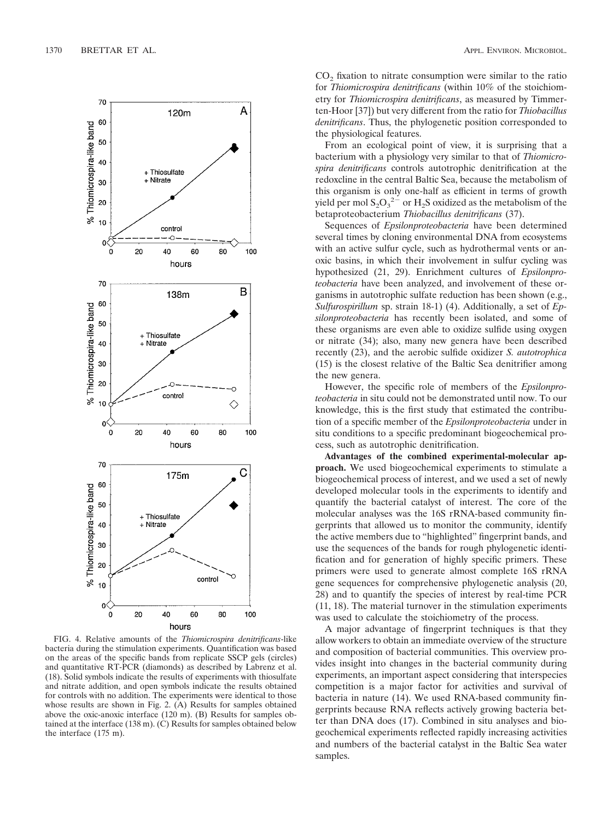

FIG. 4. Relative amounts of the *Thiomicrospira denitrificans*-like bacteria during the stimulation experiments. Quantification was based on the areas of the specific bands from replicate SSCP gels (circles) and quantitative RT-PCR (diamonds) as described by Labrenz et al. (18). Solid symbols indicate the results of experiments with thiosulfate and nitrate addition, and open symbols indicate the results obtained for controls with no addition. The experiments were identical to those whose results are shown in Fig. 2. (A) Results for samples obtained above the oxic-anoxic interface (120 m). (B) Results for samples obtained at the interface (138 m). (C) Results for samples obtained below the interface (175 m).

CO<sub>2</sub> fixation to nitrate consumption were similar to the ratio for *Thiomicrospira denitrificans* (within 10% of the stoichiometry for *Thiomicrospira denitrificans*, as measured by Timmerten-Hoor [37]) but very different from the ratio for *Thiobacillus denitrificans*. Thus, the phylogenetic position corresponded to the physiological features.

From an ecological point of view, it is surprising that a bacterium with a physiology very similar to that of *Thiomicrospira denitrificans* controls autotrophic denitrification at the redoxcline in the central Baltic Sea, because the metabolism of this organism is only one-half as efficient in terms of growth yield per mol  $S_2O_3^2$  or H<sub>2</sub>S oxidized as the metabolism of the betaproteobacterium *Thiobacillus denitrificans* (37).

Sequences of *Epsilonproteobacteria* have been determined several times by cloning environmental DNA from ecosystems with an active sulfur cycle, such as hydrothermal vents or anoxic basins, in which their involvement in sulfur cycling was hypothesized (21, 29). Enrichment cultures of *Epsilonproteobacteria* have been analyzed, and involvement of these organisms in autotrophic sulfate reduction has been shown (e.g., *Sulfurospirillum* sp. strain 18-1) (4). Additionally, a set of *Epsilonproteobacteria* has recently been isolated, and some of these organisms are even able to oxidize sulfide using oxygen or nitrate (34); also, many new genera have been described recently (23), and the aerobic sulfide oxidizer *S. autotrophica* (15) is the closest relative of the Baltic Sea denitrifier among the new genera.

However, the specific role of members of the *Epsilonproteobacteria* in situ could not be demonstrated until now. To our knowledge, this is the first study that estimated the contribution of a specific member of the *Epsilonproteobacteria* under in situ conditions to a specific predominant biogeochemical process, such as autotrophic denitrification.

**Advantages of the combined experimental-molecular approach.** We used biogeochemical experiments to stimulate a biogeochemical process of interest, and we used a set of newly developed molecular tools in the experiments to identify and quantify the bacterial catalyst of interest. The core of the molecular analyses was the 16S rRNA-based community fingerprints that allowed us to monitor the community, identify the active members due to "highlighted" fingerprint bands, and use the sequences of the bands for rough phylogenetic identification and for generation of highly specific primers. These primers were used to generate almost complete 16S rRNA gene sequences for comprehensive phylogenetic analysis (20, 28) and to quantify the species of interest by real-time PCR (11, 18). The material turnover in the stimulation experiments was used to calculate the stoichiometry of the process.

A major advantage of fingerprint techniques is that they allow workers to obtain an immediate overview of the structure and composition of bacterial communities. This overview provides insight into changes in the bacterial community during experiments, an important aspect considering that interspecies competition is a major factor for activities and survival of bacteria in nature (14). We used RNA-based community fingerprints because RNA reflects actively growing bacteria better than DNA does (17). Combined in situ analyses and biogeochemical experiments reflected rapidly increasing activities and numbers of the bacterial catalyst in the Baltic Sea water samples.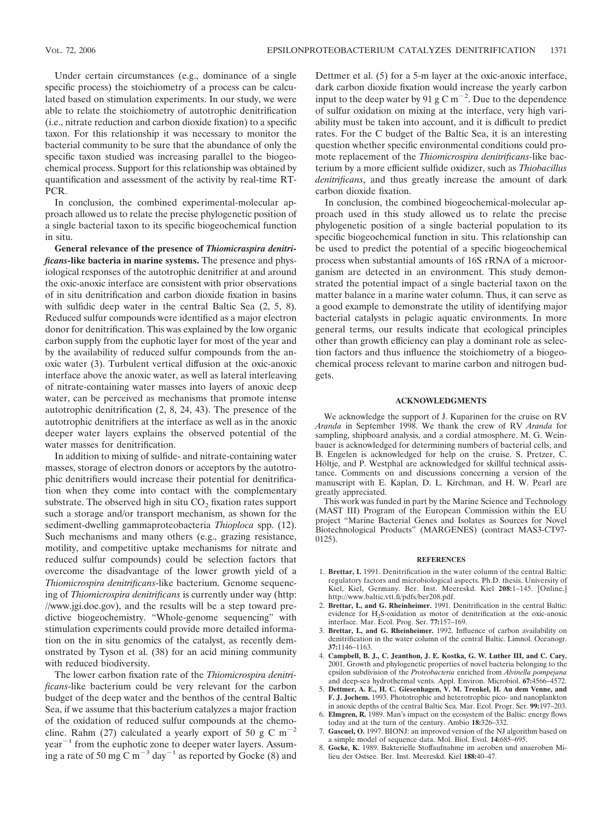Under certain circumstances (e.g., dominance of a single specific process) the stoichiometry of a process can be calculated based on stimulation experiments. In our study, we were able to relate the stoichiometry of autotrophic denitrification (i.e., nitrate reduction and carbon dioxide fixation) to a specific taxon. For this relationship it was necessary to monitor the bacterial community to be sure that the abundance of only the specific taxon studied was increasing parallel to the biogeochemical process. Support for this relationship was obtained by quantification and assessment of the activity by real-time RT-PCR.

In conclusion, the combined experimental-molecular approach allowed us to relate the precise phylogenetic position of a single bacterial taxon to its specific biogeochemical function in situ.

**General relevance of the presence of** *Thiomicraspira denitrificans***-like bacteria in marine systems.** The presence and physiological responses of the autotrophic denitrifier at and around the oxic-anoxic interface are consistent with prior observations of in situ denitrification and carbon dioxide fixation in basins with sulfidic deep water in the central Baltic Sea (2, 5, 8). Reduced sulfur compounds were identified as a major electron donor for denitrification. This was explained by the low organic carbon supply from the euphotic layer for most of the year and by the availability of reduced sulfur compounds from the anoxic water (3). Turbulent vertical diffusion at the oxic-anoxic interface above the anoxic water, as well as lateral interleaving of nitrate-containing water masses into layers of anoxic deep water, can be perceived as mechanisms that promote intense autotrophic denitrification (2, 8, 24, 43). The presence of the autotrophic denitrifiers at the interface as well as in the anoxic deeper water layers explains the observed potential of the water masses for denitrification.

In addition to mixing of sulfide- and nitrate-containing water masses, storage of electron donors or acceptors by the autotrophic denitrifiers would increase their potential for denitrification when they come into contact with the complementary substrate. The observed high in situ  $CO<sub>2</sub>$  fixation rates support such a storage and/or transport mechanism, as shown for the sediment-dwelling gammaproteobacteria *Thioploca* spp. (12). Such mechanisms and many others (e.g., grazing resistance, motility, and competitive uptake mechanisms for nitrate and reduced sulfur compounds) could be selection factors that overcome the disadvantage of the lower growth yield of a *Thiomicrospira denitrificans*-like bacterium. Genome sequencing of *Thiomicrospira denitrificans* is currently under way (http: //www.jgi.doe.gov), and the results will be a step toward predictive biogeochemistry. "Whole-genome sequencing" with stimulation experiments could provide more detailed information on the in situ genomics of the catalyst, as recently demonstrated by Tyson et al. (38) for an acid mining community with reduced biodiversity.

The lower carbon fixation rate of the *Thiomicrospira denitrificans*-like bacterium could be very relevant for the carbon budget of the deep water and the benthos of the central Baltic Sea, if we assume that this bacterium catalyzes a major fraction of the oxidation of reduced sulfur compounds at the chemocline. Rahm (27) calculated a yearly export of 50 g C m<sup>-2</sup>  $year<sup>-1</sup>$  from the euphotic zone to deeper water layers. Assuming a rate of 50 mg C  $m^{-3}$  day<sup>-1</sup> as reported by Gocke (8) and

Dettmer et al. (5) for a 5-m layer at the oxic-anoxic interface, dark carbon dioxide fixation would increase the yearly carbon input to the deep water by 91 g C m<sup> $-2$ </sup>. Due to the dependence of sulfur oxidation on mixing at the interface, very high variability must be taken into account, and it is difficult to predict rates. For the C budget of the Baltic Sea, it is an interesting question whether specific environmental conditions could promote replacement of the *Thiomicrospira denitrificans-*like bacterium by a more efficient sulfide oxidizer, such as *Thiobacillus denitrificans*, and thus greatly increase the amount of dark carbon dioxide fixation.

In conclusion, the combined biogeochemical-molecular approach used in this study allowed us to relate the precise phylogenetic position of a single bacterial population to its specific biogeochemical function in situ. This relationship can be used to predict the potential of a specific biogeochemical process when substantial amounts of 16S rRNA of a microorganism are detected in an environment. This study demonstrated the potential impact of a single bacterial taxon on the matter balance in a marine water column. Thus, it can serve as a good example to demonstrate the utility of identifying major bacterial catalysts in pelagic aquatic environments. In more general terms, our results indicate that ecological principles other than growth efficiency can play a dominant role as selection factors and thus influence the stoichiometry of a biogeochemical process relevant to marine carbon and nitrogen budgets.

#### **ACKNOWLEDGMENTS**

We acknowledge the support of J. Kuparinen for the cruise on RV *Aranda* in September 1998. We thank the crew of RV *Aranda* for sampling, shipboard analysis, and a cordial atmosphere. M. G. Weinbauer is acknowledged for determining numbers of bacterial cells, and B. Engelen is acknowledged for help on the cruise. S. Pretzer, C. Höltje, and P. Westphal are acknowledged for skillful technical assistance. Comments on and discussions concerning a version of the manuscript with E. Kaplan, D. L. Kirchman, and H. W. Pearl are greatly appreciated.

This work was funded in part by the Marine Science and Technology (MAST III) Program of the European Commission within the EU project "Marine Bacterial Genes and Isolates as Sources for Novel Biotechnological Products" (MARGENES) (contract MAS3-CT97- 0125).

#### **REFERENCES**

- 1. **Brettar, I.** 1991. Denitrification in the water column of the central Baltic: regulatory factors and microbiological aspects. Ph.D. thesis. University of Kiel, Kiel, Germany. Ber. Inst. Meereskd. Kiel **208:**1–145. [Online.] http://www.baltic.vtt.fi/pdfs/ber208.pdf.
- 2. **Brettar, I., and G. Rheinheimer.** 1991. Denitrification in the central Baltic: evidence for H2S-oxidation as motor of denitrification at the oxic-anoxic interface. Mar. Ecol. Prog. Ser. **77:**157–169.
- 3. **Brettar, I., and G. Rheinheimer.** 1992. Influence of carbon availability on denitrification in the water column of the central Baltic. Limnol. Oceanogr. **37:**1146–1163.
- 4. **Campbell, B. J., C. Jeanthon, J. E. Kostka, G. W. Luther III, and C. Cary.** 2001. Growth and phylogenetic properties of novel bacteria belonging to the epsilon subdivision of the *Proteobacteria* enriched from *Alvinella pompejana* and deep-sea hydrothermal vents. Appl. Environ. Microbiol. **67:**4566–4572.
- 5. **Dettmer, A. E., H. C. Giesenhagen, V. M. Trenkel, H. Au dem Venne, and F. J. Jochem.** 1993. Phototrophic and heterotrophic pico- and nanoplankton in anoxic depths of the central Baltic Sea. Mar. Ecol. Progr. Ser. **99:**197–203.
- 6. **Elmgren, R.** 1989. Man's impact on the ecosystem of the Baltic: energy flows today and at the turn of the century. Ambio **18:**326–332.
- 7. **Gascuel, O.** 1997. BIONJ: an improved version of the NJ algorithm based on a simple model of sequence data. Mol. Biol. Evol. **14:**685–695.
- 8. **Gocke, K.** 1989. Bakterielle Stoffaufnahme im aeroben und anaeroben Milieu der Ostsee. Ber. Inst. Meereskd. Kiel **188:**40–47.